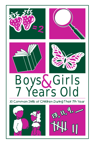

# Boys&Girls<br>7 Years Old

30 Common Skills of Children During Their 7th Year



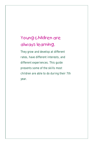# Young children are always learning.

They grow and develop at different rates, have different interests, and different experiences. This guide presents some of the skills most children are able to do during their 7th year.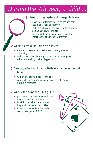# During the 7th year, a child.

#### Likes to investigate and is eager to learn 1.

- pays close attention to new things and asks lots of questions about them •
- looks for a book in the library on the animals she/he just saw at the zoo •
- tries to build an airplane from wood that matches the one in the TV program •

#### 2. Wants to make her/his own choices

- decides to make a sand castle even if everyone else is swimming •
- feels comfortable choosing a game to play although most others decide to go to the playground •

#### 3. Can pay attention to an activity over a longer period of time

- will finish reading a book to the end
- returns to finish working on a project day after day until it is complete •

#### 4. Works and plays well in a group

- plays as a good team member in the neighborhood soccer game •
- is willing to wait for a turn when helping to decorate the cookies •
- knows to play by the rules in the family card game of Go Fish •

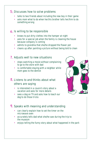#### 5. Discusses how to solve problems

- talks to two friends about including the new boy in their game •
- asks mom what to do when her/his brother tells her/him to do something wrong •

#### Is willing to be responsible 6.

- knows to put dirty clothes into the hamper at night •
- asks for a special job when the family is cleaning the house because company is coming •
- admits to grandma that she/he dropped the flower pot •
- cleans up after painting a picture without being told to clean •

#### 7. Adjusts well to new situations

- stops watching a movie without complaining to go to the store with dad •
- is comfortable staying with a neighbor while mom goes to the dentist •

#### Listens to and thinks about what 8. others are saying

- is interested in a cousin's story about a vacation and asks for more details •
- sees a dog on TV and asks how to teach our dog to do those tricks •

#### 9. Speaks with meaning and understanding

- can clearly explain how to set the timer on the microwave oven •
- accurately tells dad what she/he saw during the trip to the museum
- enjoys telling the funny story about what happened in the park •

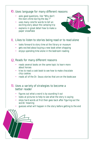#### **lO**. Uses language for many different reasons

- asks good questions, like "Why don't the stars shine during the day ?" •
- uses many colorful words to tell an exciting story about the camping trip
- explains in great detail how to make a paper snowflake

#### II. Likes to listen to stories being read or to read alone

- looks forward to story time at the library or museum
- gets excited about buying a new book when shopping
- enjoys spending time alone in the bedroom reading

#### 2. Reads for many different reasons

- reads several books on the same topic to learn more about horses •
- tries to read a cook book to see how to make chocolate chip cookies
- reads all of the Dr. Seuss stories that are on the bookcase •

#### 13. Uses a variety of strategies to become a better reader

- figures out what a word is by sounding it out •
- looks at pictures to help to see what the story is saying •
- skips hard words at first then goes back after figuring out the words' meaning •
- guesses what will happen in the story before getting to the end •

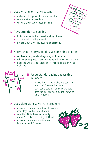#### Uses writing for many reasons 14.

- makes a list of games to take on vacation •
- sends a letter to grandma
- writes a short story about a dream

#### **15. Pays attention to spelling**

**Tuesday Wed**

**7**

**14**

**ay**

**6**

**May**

- looks in books for the correct spelling of words •
- asks for help spelling a word •
- notices when a word is not spelled correctly

#### **16.** Knows that a story should have some kind of order

- realizes a story needs a beginning, middle and end •
- tells what happened "next" as she/he tells or writes the story •
- begins to understand that each story should have only one main topic •

#### 17. Understands reading and writing numbers

- knows that 12 and twelve and counting aloud to 12 means the same •
- can read a calendar and give the date •
- sees the clock says 12:00 and knows its time for lunch •

#### Uses pictures to solve math problems 18.

- draws a picture of the animals to see how many legs in all are on 3 horses •
- sees that 20 is the same quantity if it is 20 cookies or  $10 \text{ dogs} + 10 \text{ cats}$ •
- draws a pie to show how to share two pizzas with 8 people •



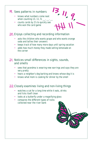#### 19. Sees patterns in numbers

- knows what numbers come next when counting  $13, 11, 9, \ldots$
- counts cards by 2's to quickly see who won the card game

#### 20. Enjoys collecting and recording information

asks the children who wants grape and who wants orange soda and tallies their answers •

**13**

 **11**

 $\frac{1}{11}$ ,  $\frac{9}{1}$ 

- keeps track of how many more days until spring vacation •
- adds how much money they made selling lemonade on the corner •

#### Notices small differences in sights, sounds, 21. and smells

- sees that grandma is wearing new earrings and says they are very pretty •
- hears a neighbor's dog barking and knows whose dog it is
- knows what mom is cooking for dinner by the smell

#### 22. Closely examines living and non-living things

- watches a cat for a long time while it eats, drinks and licks itself clean •
- looks at a butterfly under a magnifying glass
- compares the different types of rocks collected near the river bank

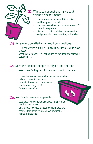

#### 23. Wants to conduct and talk about scientific experiments

- wants to soak a bean until it sprouts and then plant it in soil •
- watches to see how long it takes a bowl of water to evaporate •
- likes to mix colors of play dough together and guess what new color they will make •

#### Asks many detailed what and how questions 24.

- How can we find out if this is a good place for a robin to make a nest? •
- What would happen if oil got spilled on the floor and someone stepped in it?

#### 25. Sees the need for people to rely on one another

- asks others for help or opinions when trying to complete a project •
- knows the farmer must do his job for there to be milk and bread in the store
- reminds the family to recycle cans and jars for the good of everyone on earth

#### Notices differences in people 26.

- sees that some children are better at sports or •
- ` reading than others
- talks about how nice or not nice playmates are
- realizes that some children have physical or mental limitations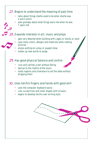#### 27. Begins to understand the meaning of past time

- talks about things she/he used to do when she/he was 4 and 5 and 6 •
- asks grandpa about what things were like when he was 7 years old •

#### Expands interests in art, music and plays 28.

- gets very detailed when building with Lego's or blocks or sand •
- uses many colors, designs and materials when making pictures •
- enjoys putting on a play or puppet show •
- makes up new words to songs •

#### 29. Has good physical balance and control

- runs and catches a ball without falling
- dances to the rhythm of the music
- holds napkins and silverware to set the table without dropping them

#### 30. Uses her/his fingers and hands with good skill

- uses the computer keyboard easily
- cuts curved lines and small shapes with scissors
- begins to develop her/his own writing style

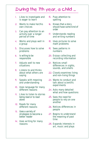### During the 7th year, a child ...

- 1. Likes to investigate and is eager to learn
- 2. Wants to make her/his own choices
- 3. Can pay attention to an activity over a longer period of time
- 4. Works and plays well in a group
- 5. Discusses how to solve problems
- 6. Is willing to be responsible
- 7. Adjusts well to new situations
- 8. Listens to and thinks about what others are saying
- 9. Speaks with meaning and understanding
- 10. Uses language for many different reasons
- 11. Likes to listen to stories being read or to read alone
- 12. Reads for many different reasons
- 13. Uses a variety of strategies to become a better reader
- 14. Uses writing for many reasons
- 15. Pays attention to spelling
- 16. Knows that a story should have some kind of order
- 17. Understands reading and writing numbers
- 18. Uses pictures to solve math problems
- 19. Sees patterns in numbers
- 20. Enjoys collecting and recording information
- 21. Notices small differences in sights, sounds, and smells
- 22. Closely examines living and non-living things
- 23. Wants to conduct and talk about scientific experiments
- 24. Asks many detailed what and how questions
- 25. Sees the need for people to rely on one another
- 26. Notices differences in people
- 27. Begins to understand the meaning of past time
- 28. Expands interests in art, music and plays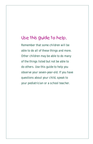## Use this guide to help.

Remember that some children will be able to do all of these things and more. Other children may be able to do many of the things listed but not be able to do others. Use this guide to help you observe your seven-year-old. If you have questions about your child, speak to your pediatrician or a school teacher.